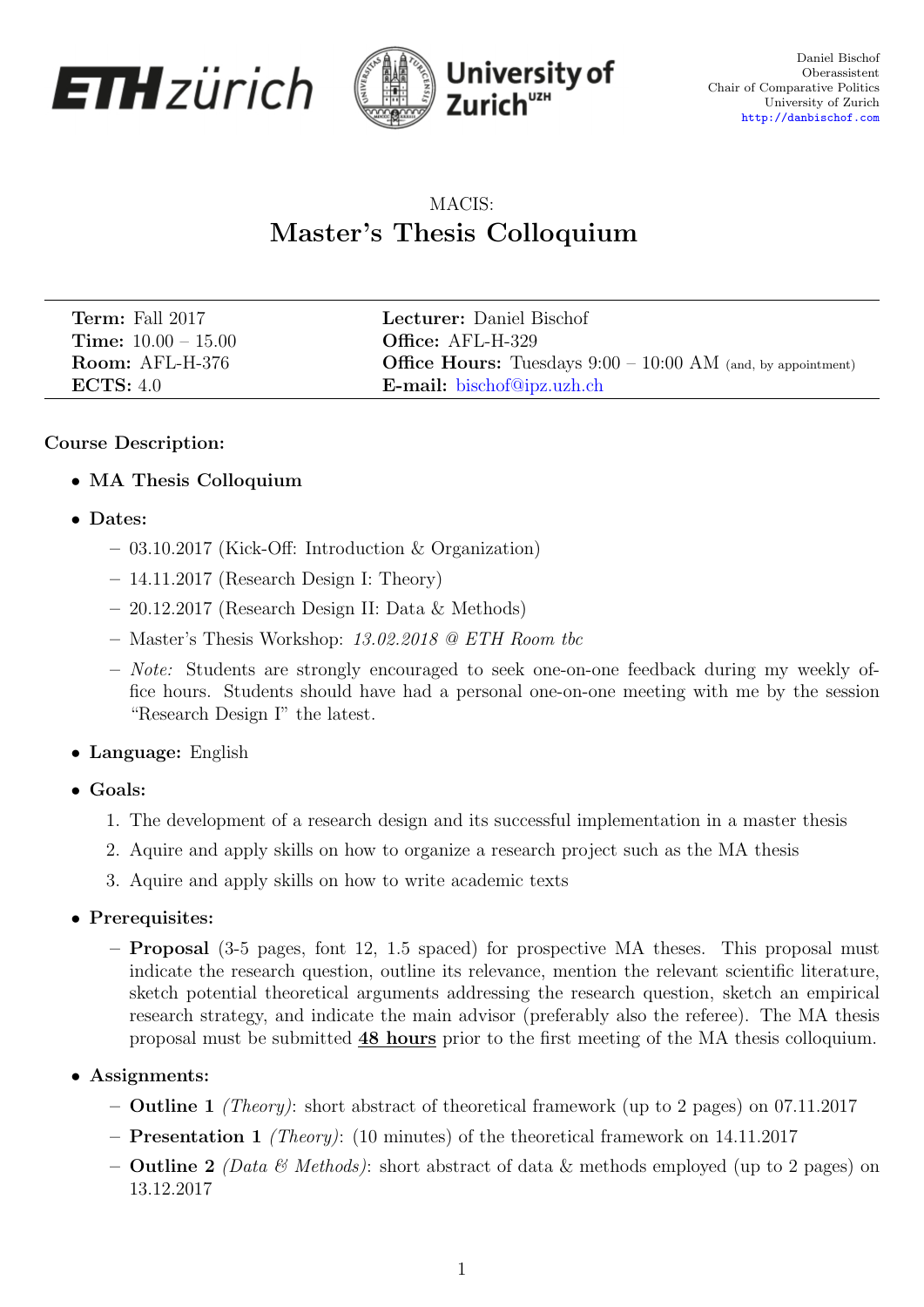



Daniel Bischof Oberassistent Chair of Comparative Politics University of Zurich <http://danbischof.com>

# MACIS: Master's Thesis Colloquium

| <b>Term:</b> Fall 2017       | Lecturer: Daniel Bischof                                              |
|------------------------------|-----------------------------------------------------------------------|
| <b>Time:</b> $10.00 - 15.00$ | <b>Office:</b> AFL-H-329                                              |
| Room: AFL-H-376              | <b>Office Hours:</b> Tuesdays $9:00 - 10:00$ AM (and, by appointment) |
| ECTS: 4.0                    | <b>E-mail:</b> bischof@ipz.uzh.ch                                     |

## Course Description:

- MA Thesis Colloquium
- Dates:
	- 03.10.2017 (Kick-Off: Introduction & Organization)
	- 14.11.2017 (Research Design I: Theory)
	- 20.12.2017 (Research Design II: Data & Methods)
	- Master's Thesis Workshop: 13.02.2018 @ ETH Room tbc
	- Note: Students are strongly encouraged to seek one-on-one feedback during my weekly office hours. Students should have had a personal one-on-one meeting with me by the session "Research Design I" the latest.
- Language: English
- Goals:
	- 1. The development of a research design and its successful implementation in a master thesis
	- 2. Aquire and apply skills on how to organize a research project such as the MA thesis
	- 3. Aquire and apply skills on how to write academic texts
- Prerequisites:
	- Proposal (3-5 pages, font 12, 1.5 spaced) for prospective MA theses. This proposal must indicate the research question, outline its relevance, mention the relevant scientific literature, sketch potential theoretical arguments addressing the research question, sketch an empirical research strategy, and indicate the main advisor (preferably also the referee). The MA thesis proposal must be submitted 48 hours prior to the first meeting of the MA thesis colloquium.
- Assignments:
	- Outline 1 (Theory): short abstract of theoretical framework (up to 2 pages) on 07.11.2017
	- Presentation 1 (Theory): (10 minutes) of the theoretical framework on 14.11.2017
	- **Outline 2** (Data & Methods): short abstract of data & methods employed (up to 2 pages) on 13.12.2017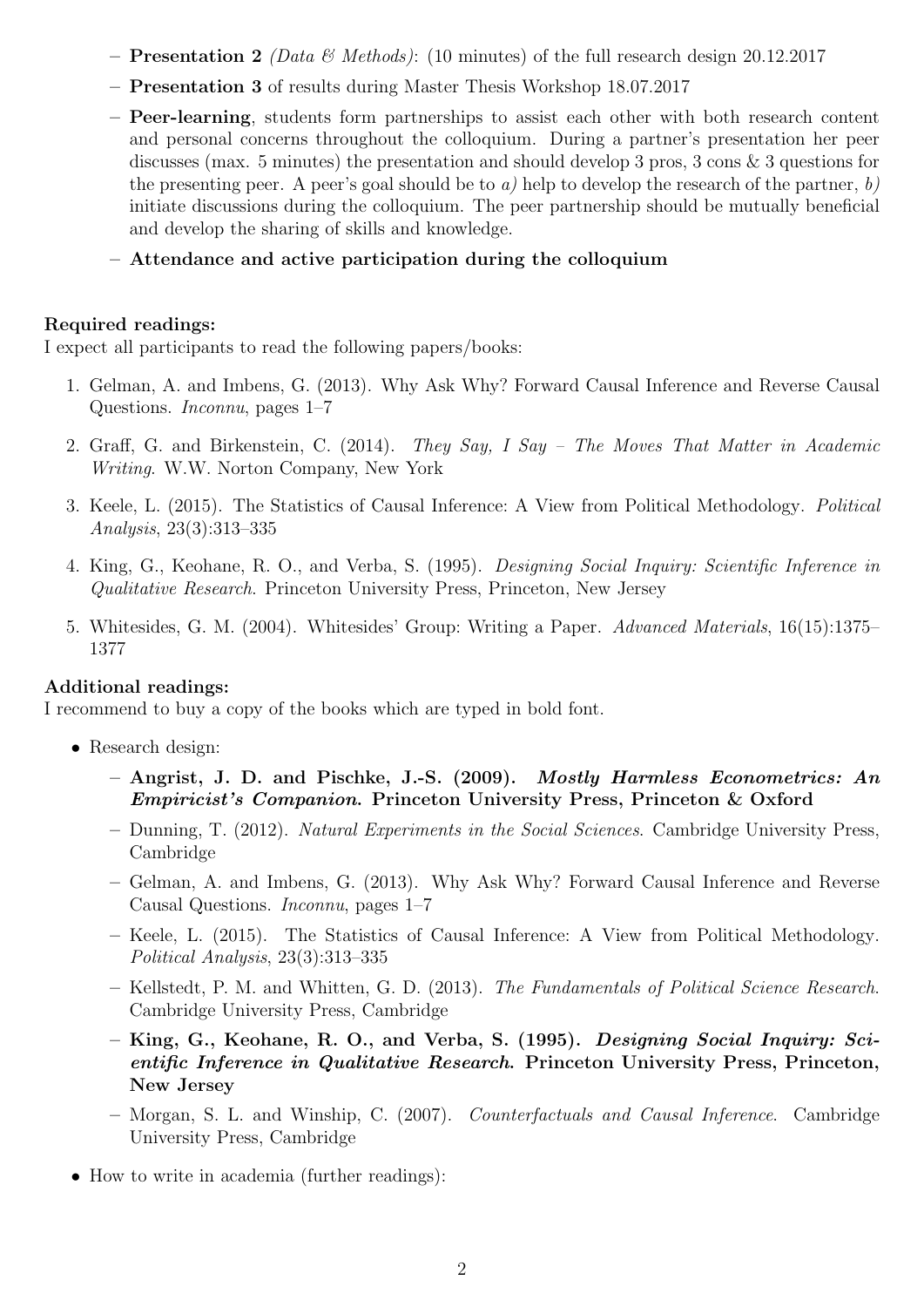- **Presentation 2** (Data & Methods): (10 minutes) of the full research design 20.12.2017
- Presentation 3 of results during Master Thesis Workshop 18.07.2017
- Peer-learning, students form partnerships to assist each other with both research content and personal concerns throughout the colloquium. During a partner's presentation her peer discusses (max. 5 minutes) the presentation and should develop 3 pros, 3 cons & 3 questions for the presenting peer. A peer's goal should be to a) help to develop the research of the partner, b) initiate discussions during the colloquium. The peer partnership should be mutually beneficial and develop the sharing of skills and knowledge.
- Attendance and active participation during the colloquium

### Required readings:

I expect all participants to read the following papers/books:

- 1. Gelman, A. and Imbens, G. (2013). Why Ask Why? Forward Causal Inference and Reverse Causal Questions. Inconnu, pages 1–7
- 2. Graff, G. and Birkenstein, C. (2014). They Say, I Say The Moves That Matter in Academic Writing. W.W. Norton Company, New York
- 3. Keele, L. (2015). The Statistics of Causal Inference: A View from Political Methodology. Political Analysis, 23(3):313–335
- 4. King, G., Keohane, R. O., and Verba, S. (1995). Designing Social Inquiry: Scientific Inference in Qualitative Research. Princeton University Press, Princeton, New Jersey
- 5. Whitesides, G. M. (2004). Whitesides' Group: Writing a Paper. Advanced Materials, 16(15):1375– 1377

### Additional readings:

I recommend to buy a copy of the books which are typed in bold font.

- Research design:
	- Angrist, J. D. and Pischke, J.-S. (2009). Mostly Harmless Econometrics: An Empiricist's Companion. Princeton University Press, Princeton & Oxford
	- Dunning, T. (2012). Natural Experiments in the Social Sciences. Cambridge University Press, Cambridge
	- Gelman, A. and Imbens, G. (2013). Why Ask Why? Forward Causal Inference and Reverse Causal Questions. Inconnu, pages 1–7
	- Keele, L. (2015). The Statistics of Causal Inference: A View from Political Methodology. Political Analysis, 23(3):313–335
	- Kellstedt, P. M. and Whitten, G. D. (2013). The Fundamentals of Political Science Research. Cambridge University Press, Cambridge
	- King, G., Keohane, R. O., and Verba, S. (1995). Designing Social Inquiry: Scientific Inference in Qualitative Research. Princeton University Press, Princeton, New Jersey
	- Morgan, S. L. and Winship, C. (2007). Counterfactuals and Causal Inference. Cambridge University Press, Cambridge
- How to write in academia (further readings):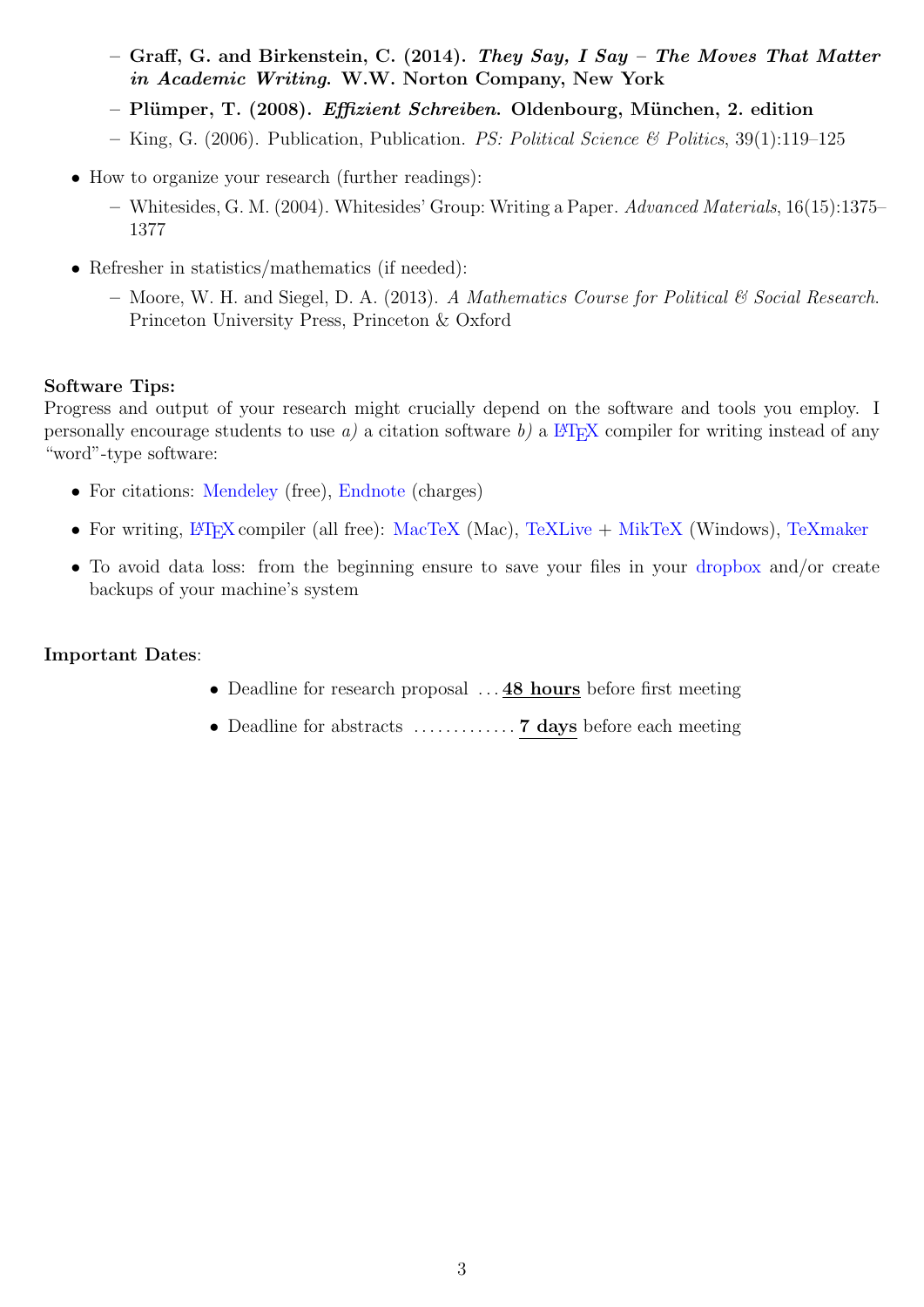- Graff, G. and Birkenstein, C. (2014). They Say, I Say The Moves That Matter in Academic Writing. W.W. Norton Company, New York
- $-$  Plümper, T. (2008). *Effizient Schreiben*. Oldenbourg, München, 2. edition
- King, G. (2006). Publication, Publication. PS: Political Science & Politics,  $39(1):119-125$
- How to organize your research (further readings):
	- Whitesides, G. M. (2004). Whitesides' Group: Writing a Paper. Advanced Materials, 16(15):1375– 1377
- Refresher in statistics/mathematics (if needed):
	- Moore, W. H. and Siegel, D. A. (2013). A Mathematics Course for Political  $\mathcal C$  Social Research. Princeton University Press, Princeton & Oxford

### Software Tips:

Progress and output of your research might crucially depend on the software and tools you employ. I personally encourage students to use a) a citation software b) a  $\mathbb{F}(\mathbb{F}(\mathbb{R}^N))$  compiler for writing instead of any "word"-type software:

- For citations: [Mendeley](https://www.mendeley.com) (free), [Endnote](http://endnote.com) (charges)
- For writing,  $\frac{B}{F}$ X compiler (all free): [MacTeX](https://tug.org/mactex/) (Mac), [TeXLive](https://www.tug.org/texlive/) + [MikTeX](http://miktex.org) (Windows), [TeXmaker](http://www.xm1math.net/texmaker/)
- To avoid data loss: from the beginning ensure to save your files in your [dropbox](https://www.dropbox.com) and/or create backups of your machine's system

### Important Dates:

- Deadline for research proposal ... **48 hours** before first meeting
- Deadline for abstracts . . . . . . . . . . . . . 7 days before each meeting